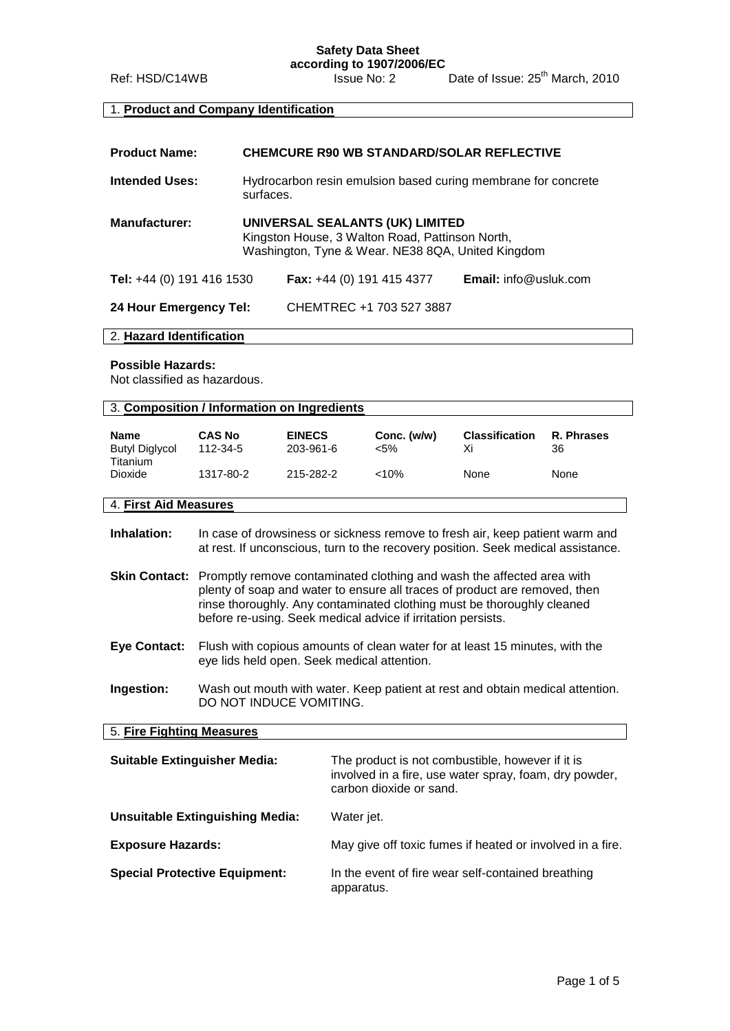**Safety Data Sheet according to 1907/2006/EC**

Ref: HSD/C14WB Issue No: 2 Date of Issue: 25<sup>th</sup> March, 2010

# 1. **Product and Company Identification**

| <b>Product Name:</b>      | <b>CHEMCURE R90 WB STANDARD/SOLAR REFLECTIVE</b>                                                                                        |                          |                              |
|---------------------------|-----------------------------------------------------------------------------------------------------------------------------------------|--------------------------|------------------------------|
| <b>Intended Uses:</b>     | Hydrocarbon resin emulsion based curing membrane for concrete<br>surfaces.                                                              |                          |                              |
| <b>Manufacturer:</b>      | UNIVERSAL SEALANTS (UK) LIMITED<br>Kingston House, 3 Walton Road, Pattinson North,<br>Washington, Tyne & Wear. NE38 8QA, United Kingdom |                          |                              |
| Tel: +44 (0) 191 416 1530 | Fax: +44 (0) 191 415 4377                                                                                                               |                          | <b>Email:</b> info@usluk.com |
| 24 Hour Emergency Tel:    |                                                                                                                                         | CHEMTREC +1 703 527 3887 |                              |

## 2. **Hazard Identification**

#### **Possible Hazards:**

Not classified as hazardous.

| 3. Composition / Information on Ingredients |               |               |             |                       |            |
|---------------------------------------------|---------------|---------------|-------------|-----------------------|------------|
| <b>Name</b>                                 | <b>CAS No</b> | <b>EINECS</b> | Conc. (w/w) | <b>Classification</b> | R. Phrases |
| <b>Butyl Diglycol</b><br><b>Titanium</b>    | 112-34-5      | 203-961-6     | <5%         | Xi                    | 36         |
| Dioxide                                     | 1317-80-2     | 215-282-2     | $<10\%$     | None                  | None       |
| 4. First Aid Measures                       |               |               |             |                       |            |

**Inhalation:** In case of drowsiness or sickness remove to fresh air, keep patient warm and at rest. If unconscious, turn to the recovery position. Seek medical assistance.

- **Skin Contact:** Promptly remove contaminated clothing and wash the affected area with plenty of soap and water to ensure all traces of product are removed, then rinse thoroughly. Any contaminated clothing must be thoroughly cleaned before re-using. Seek medical advice if irritation persists.
- **Eye Contact:** Flush with copious amounts of clean water for at least 15 minutes, with the eye lids held open. Seek medical attention.
- **Ingestion:** Wash out mouth with water. Keep patient at rest and obtain medical attention. DO NOT INDUCE VOMITING.

## 5. **Fire Fighting Measures**

| <b>Suitable Extinguisher Media:</b>    | The product is not combustible, however if it is                                  |
|----------------------------------------|-----------------------------------------------------------------------------------|
|                                        | involved in a fire, use water spray, foam, dry powder,<br>carbon dioxide or sand. |
| <b>Unsuitable Extinguishing Media:</b> | Water jet.                                                                        |
| <b>Exposure Hazards:</b>               | May give off toxic fumes if heated or involved in a fire.                         |
| <b>Special Protective Equipment:</b>   | In the event of fire wear self-contained breathing<br>apparatus.                  |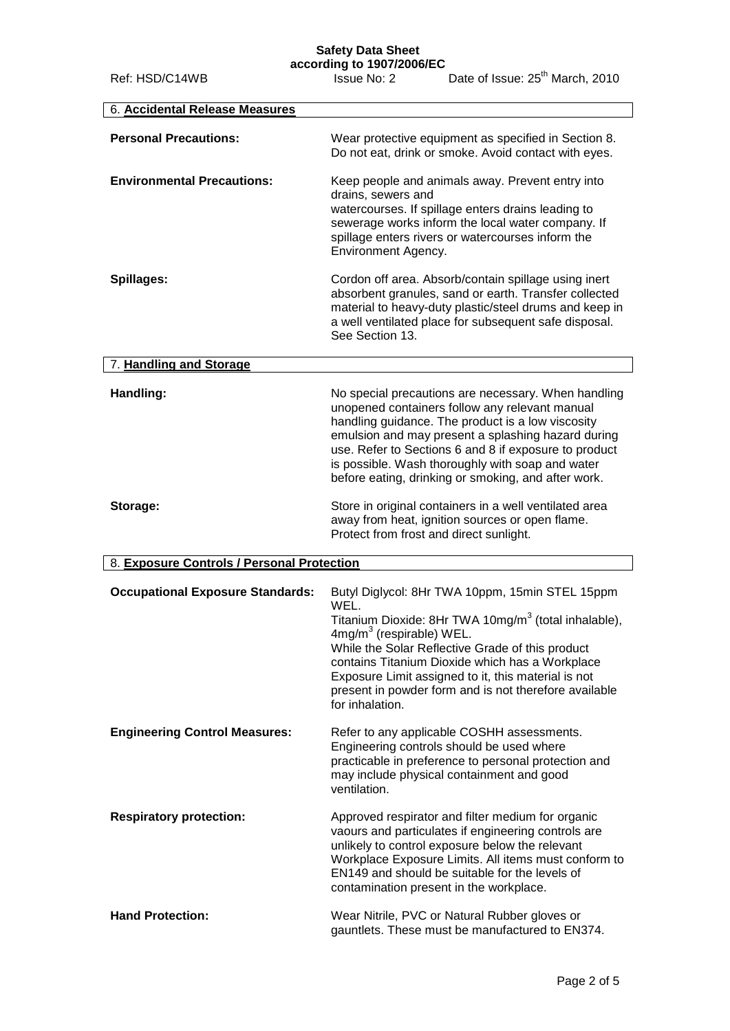# **Safety Data Sheet**

| 6. Accidental Release Measures             |                                                                                                                                                                                                                                                                                                                                                                                                     |
|--------------------------------------------|-----------------------------------------------------------------------------------------------------------------------------------------------------------------------------------------------------------------------------------------------------------------------------------------------------------------------------------------------------------------------------------------------------|
| <b>Personal Precautions:</b>               | Wear protective equipment as specified in Section 8.<br>Do not eat, drink or smoke. Avoid contact with eyes.                                                                                                                                                                                                                                                                                        |
| <b>Environmental Precautions:</b>          | Keep people and animals away. Prevent entry into<br>drains, sewers and<br>watercourses. If spillage enters drains leading to<br>sewerage works inform the local water company. If<br>spillage enters rivers or watercourses inform the<br>Environment Agency.                                                                                                                                       |
| Spillages:                                 | Cordon off area. Absorb/contain spillage using inert<br>absorbent granules, sand or earth. Transfer collected<br>material to heavy-duty plastic/steel drums and keep in<br>a well ventilated place for subsequent safe disposal.<br>See Section 13.                                                                                                                                                 |
| 7. Handling and Storage                    |                                                                                                                                                                                                                                                                                                                                                                                                     |
| Handling:                                  | No special precautions are necessary. When handling<br>unopened containers follow any relevant manual<br>handling guidance. The product is a low viscosity<br>emulsion and may present a splashing hazard during<br>use. Refer to Sections 6 and 8 if exposure to product<br>is possible. Wash thoroughly with soap and water<br>before eating, drinking or smoking, and after work.                |
| Storage:                                   | Store in original containers in a well ventilated area<br>away from heat, ignition sources or open flame.<br>Protect from frost and direct sunlight.                                                                                                                                                                                                                                                |
| 8. Exposure Controls / Personal Protection |                                                                                                                                                                                                                                                                                                                                                                                                     |
| <b>Occupational Exposure Standards:</b>    | Butyl Diglycol: 8Hr TWA 10ppm, 15min STEL 15ppm<br>WEL.<br>Titanium Dioxide: 8Hr TWA 10mg/m <sup>3</sup> (total inhalable),<br>$4mg/m3$ (respirable) WEL.<br>While the Solar Reflective Grade of this product<br>contains Titanium Dioxide which has a Workplace<br>Exposure Limit assigned to it, this material is not<br>present in powder form and is not therefore available<br>for inhalation. |
| <b>Engineering Control Measures:</b>       | Refer to any applicable COSHH assessments.<br>Engineering controls should be used where<br>practicable in preference to personal protection and<br>may include physical containment and good<br>ventilation.                                                                                                                                                                                        |
| <b>Respiratory protection:</b>             | Approved respirator and filter medium for organic<br>vaours and particulates if engineering controls are<br>unlikely to control exposure below the relevant<br>Workplace Exposure Limits. All items must conform to<br>EN149 and should be suitable for the levels of<br>contamination present in the workplace.                                                                                    |
| <b>Hand Protection:</b>                    | Wear Nitrile, PVC or Natural Rubber gloves or<br>gauntlets. These must be manufactured to EN374.                                                                                                                                                                                                                                                                                                    |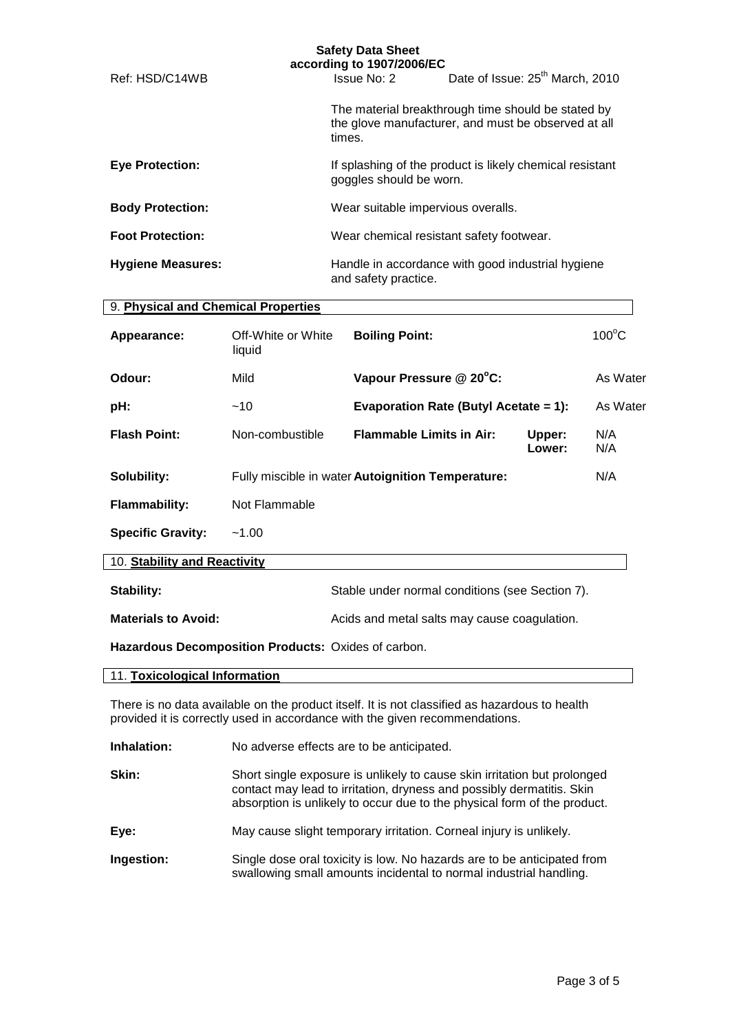|                          | according to 1907/2006/EC                                                           |                                                                                                           |
|--------------------------|-------------------------------------------------------------------------------------|-----------------------------------------------------------------------------------------------------------|
| Ref: HSD/C14WB           | Issue No: 2                                                                         | Date of Issue: 25 <sup>th</sup> March, 2010                                                               |
|                          | times.                                                                              | The material breakthrough time should be stated by<br>the glove manufacturer, and must be observed at all |
| <b>Eve Protection:</b>   | If splashing of the product is likely chemical resistant<br>goggles should be worn. |                                                                                                           |
| <b>Body Protection:</b>  | Wear suitable impervious overalls.                                                  |                                                                                                           |
| <b>Foot Protection:</b>  | Wear chemical resistant safety footwear.                                            |                                                                                                           |
| <b>Hygiene Measures:</b> | Handle in accordance with good industrial hygiene<br>and safety practice.           |                                                                                                           |

| 9. Physical and Chemical Properties |                              |                                                   |                  |                 |
|-------------------------------------|------------------------------|---------------------------------------------------|------------------|-----------------|
| Appearance:                         | Off-White or White<br>liquid | <b>Boiling Point:</b>                             |                  | $100^{\circ}$ C |
| Odour:                              | Mild                         | Vapour Pressure @ 20°C:                           |                  | As Water        |
| pH:                                 | ~10                          | Evaporation Rate (Butyl Acetate = 1):             |                  | As Water        |
| <b>Flash Point:</b>                 | Non-combustible              | <b>Flammable Limits in Air:</b>                   | Upper:<br>Lower: | N/A<br>N/A      |
| Solubility:                         |                              | Fully miscible in water Autoignition Temperature: |                  | N/A             |
| <b>Flammability:</b>                | Not Flammable                |                                                   |                  |                 |
| <b>Specific Gravity:</b>            | $-1.00$                      |                                                   |                  |                 |
| 10. Stability and Reactivity        |                              |                                                   |                  |                 |

| <b>Stability:</b>          | Stable under normal conditions (see Section 7). |
|----------------------------|-------------------------------------------------|
| <b>Materials to Avoid:</b> | Acids and metal salts may cause coagulation.    |

**Hazardous Decomposition Products:** Oxides of carbon.

| 11. Toxicological Information |  |
|-------------------------------|--|
|-------------------------------|--|

There is no data available on the product itself. It is not classified as hazardous to health provided it is correctly used in accordance with the given recommendations.

| Inhalation: | No adverse effects are to be anticipated.                                                                                                                                                                                     |
|-------------|-------------------------------------------------------------------------------------------------------------------------------------------------------------------------------------------------------------------------------|
| Skin:       | Short single exposure is unlikely to cause skin irritation but prolonged<br>contact may lead to irritation, dryness and possibly dermatitis. Skin<br>absorption is unlikely to occur due to the physical form of the product. |
| Eye:        | May cause slight temporary irritation. Corneal injury is unlikely.                                                                                                                                                            |
| Ingestion:  | Single dose oral toxicity is low. No hazards are to be anticipated from<br>swallowing small amounts incidental to normal industrial handling.                                                                                 |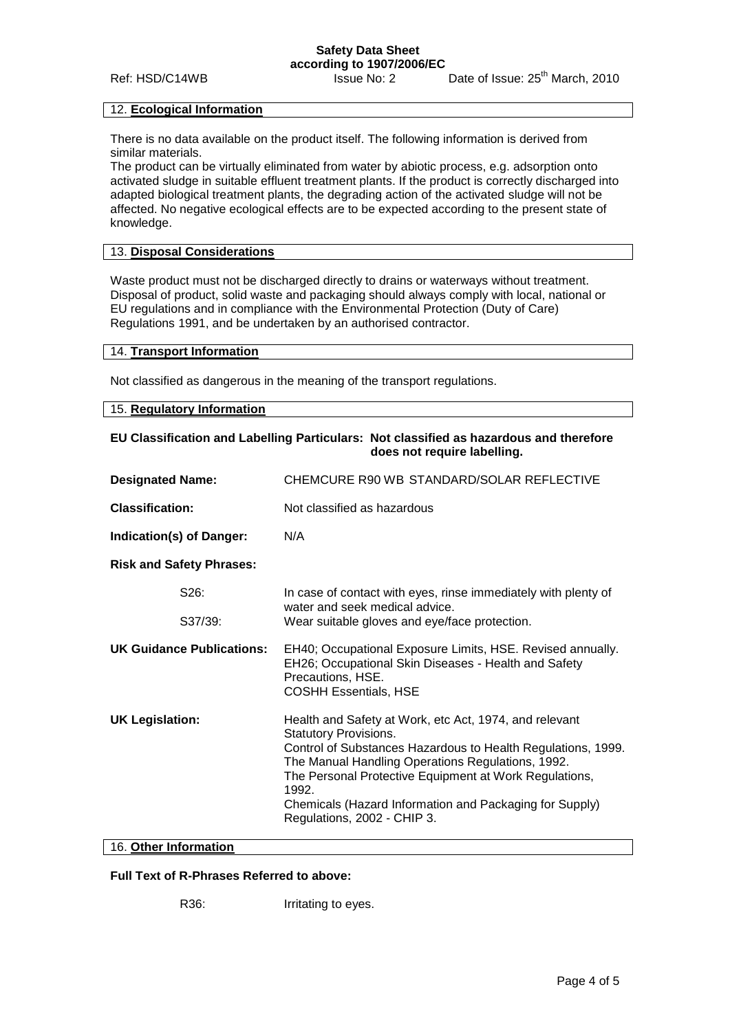#### **Safety Data Sheet according to 1907/2006/EC**

Ref: HSD/C14WB Issue No: 2 Date of Issue: 25<sup>th</sup> March, 2010

#### 12. **Ecological Information**

There is no data available on the product itself. The following information is derived from similar materials.

The product can be virtually eliminated from water by abiotic process, e.g. adsorption onto activated sludge in suitable effluent treatment plants. If the product is correctly discharged into adapted biological treatment plants, the degrading action of the activated sludge will not be affected. No negative ecological effects are to be expected according to the present state of knowledge.

# 13. **Disposal Considerations**

Waste product must not be discharged directly to drains or waterways without treatment. Disposal of product, solid waste and packaging should always comply with local, national or EU regulations and in compliance with the Environmental Protection (Duty of Care) Regulations 1991, and be undertaken by an authorised contractor.

#### 14. **Transport Information**

Not classified as dangerous in the meaning of the transport regulations.

#### 15. **Regulatory Information**

## **EU Classification and Labelling Particulars: Not classified as hazardous and therefore does not require labelling.**

| <b>Designated Name:</b>          | CHEMCURE R90 WB STANDARD/SOLAR REFLECTIVE                                                                                                                                                                                                                                                                                                                                |  |
|----------------------------------|--------------------------------------------------------------------------------------------------------------------------------------------------------------------------------------------------------------------------------------------------------------------------------------------------------------------------------------------------------------------------|--|
| <b>Classification:</b>           | Not classified as hazardous                                                                                                                                                                                                                                                                                                                                              |  |
| Indication(s) of Danger:         | N/A                                                                                                                                                                                                                                                                                                                                                                      |  |
| <b>Risk and Safety Phrases:</b>  |                                                                                                                                                                                                                                                                                                                                                                          |  |
| S26:                             | In case of contact with eyes, rinse immediately with plenty of<br>water and seek medical advice.                                                                                                                                                                                                                                                                         |  |
| S37/39:                          | Wear suitable gloves and eye/face protection.                                                                                                                                                                                                                                                                                                                            |  |
| <b>UK Guidance Publications:</b> | EH40; Occupational Exposure Limits, HSE. Revised annually.<br>EH26; Occupational Skin Diseases - Health and Safety<br>Precautions, HSE.<br><b>COSHH Essentials, HSE</b>                                                                                                                                                                                                  |  |
| <b>UK Legislation:</b>           | Health and Safety at Work, etc Act, 1974, and relevant<br><b>Statutory Provisions.</b><br>Control of Substances Hazardous to Health Regulations, 1999.<br>The Manual Handling Operations Regulations, 1992.<br>The Personal Protective Equipment at Work Regulations,<br>1992.<br>Chemicals (Hazard Information and Packaging for Supply)<br>Regulations, 2002 - CHIP 3. |  |

## 16. **Other Information**

## **Full Text of R-Phrases Referred to above:**

R36: Irritating to eyes.